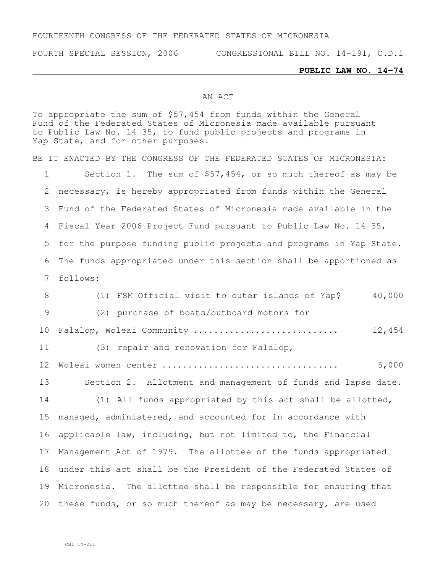## FOURTEENTH CONGRESS OF THE FEDERATED STATES OF MICRONESIA

FOURTH SPECIAL SESSION, 2006 CONGRESSIONAL BILL NO. 14-191, C.D.1

## **PUBLIC LAW NO. 14-74**

## AN ACT

To appropriate the sum of \$57,454 from funds within the General Fund of the Federated States of Micronesia made available pursuant to Public Law No. 14-35, to fund public projects and programs in Yap State, and for other purposes. BE IT ENACTED BY THE CONGRESS OF THE FEDERATED STATES OF MICRONESIA: Section 1. The sum of \$57,454, or so much thereof as may be necessary, is hereby appropriated from funds within the General Fund of the Federated States of Micronesia made available in the Fiscal Year 2006 Project Fund pursuant to Public Law No. 14-35, for the purpose funding public projects and programs in Yap State. The funds appropriated under this section shall be apportioned as follows: 8 (1) FSM Official visit to outer islands of Yap\$ 40,000 (2) purchase of boats/outboard motors for Falalop, Woleai Community ............................ 12,454 (3) repair and renovation for Falalop, Woleai women center .................................. 5,000 Section 2. Allotment and management of funds and lapse date. (1) All funds appropriated by this act shall be allotted, managed, administered, and accounted for in accordance with applicable law, including, but not limited to, the Financial Management Act of 1979. The allottee of the funds appropriated under this act shall be the President of the Federated States of Micronesia. The allottee shall be responsible for ensuring that these funds, or so much thereof as may be necessary, are used